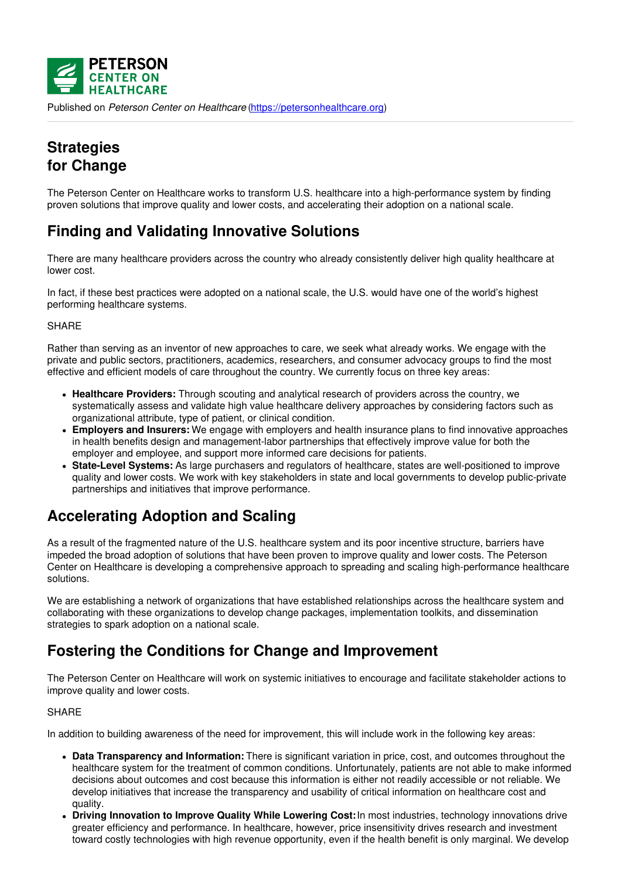

Published on *Peterson Center on Healthcare* [\(https://petersonhealthcare.org](https://petersonhealthcare.org))

# **Strategies for Change**

The Peterson Center on Healthcare works to transform U.S. healthcare into a high-performance system by finding proven solutions that improve quality and lower costs, and accelerating their adoption on a national scale.

# **Finding and Validating Innovative Solutions**

There are many healthcare providers across the country who already consistently deliver high quality healthcare at lower cost.

In fact, if these best practices were adopted on a national scale, the U.S. would have one of the world's highest performing healthcare systems.

### **SHARE**

Rather than serving as an inventor of new approaches to care, we seek what already works. We engage with the private and public sectors, practitioners, academics, researchers, and consumer advocacy groups to find the most effective and efficient models of care throughout the country. We currently focus on three key areas:

- **Healthcare Providers:** Through scouting and analytical research of providers across the country, we systematically assess and validate high value healthcare delivery approaches by considering factors such as organizational attribute, type of patient, or clinical condition.
- **Employers and Insurers:** We engage with employers and health insurance plans to find innovative approaches in health benefits design and management-labor partnerships that effectively improve value for both the employer and employee, and support more informed care decisions for patients.
- **State-Level Systems:** As large purchasers and regulators of healthcare, states are well-positioned to improve quality and lower costs. We work with key stakeholders in state and local governments to develop public-private partnerships and initiatives that improve performance.

# **Accelerating Adoption and Scaling**

As a result of the fragmented nature of the U.S. healthcare system and its poor incentive structure, barriers have impeded the broad adoption of solutions that have been proven to improve quality and lower costs. The Peterson Center on Healthcare is developing a comprehensive approach to spreading and scaling high-performance healthcare solutions.

We are establishing a network of organizations that have established relationships across the healthcare system and collaborating with these organizations to develop change packages, implementation toolkits, and dissemination strategies to spark adoption on a national scale.

### **Fostering the Conditions for Change and Improvement**

The Peterson Center on Healthcare will work on systemic initiatives to encourage and facilitate stakeholder actions to improve quality and lower costs.

### SHARE

In addition to building awareness of the need for improvement, this will include work in the following key areas:

- **Data Transparency and Information:** There is significant variation in price, cost, and outcomes throughout the healthcare system for the treatment of common conditions. Unfortunately, patients are not able to make informed decisions about outcomes and cost because this information is either not readily accessible or not reliable. We develop initiatives that increase the transparency and usability of critical information on healthcare cost and quality.
- **Driving Innovation to Improve Quality While Lowering Cost:**In most industries, technology innovations drive greater efficiency and performance. In healthcare, however, price insensitivity drives research and investment toward costly technologies with high revenue opportunity, even if the health benefit is only marginal. We develop